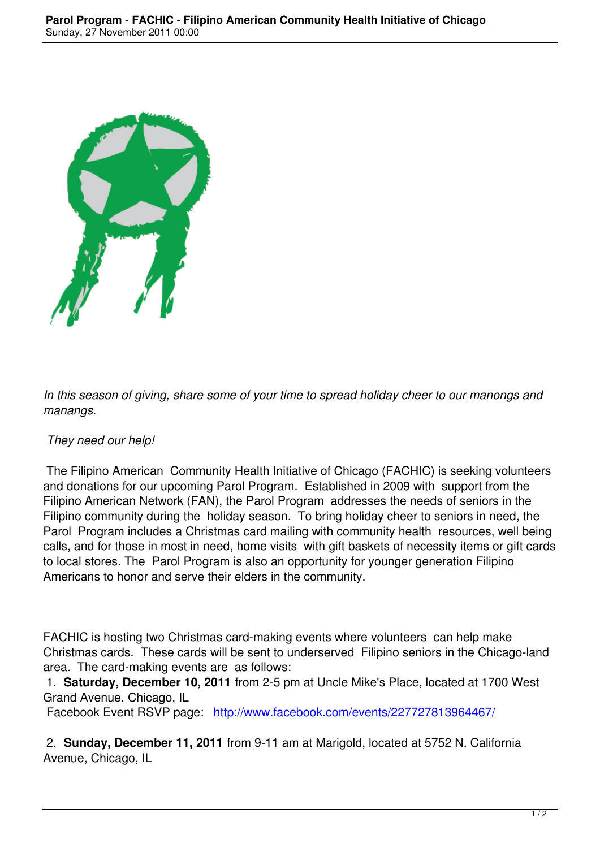

*In this season of giving, share some of your time to spread holiday cheer to our manongs and manangs.*

## *They need our help!*

 The Filipino American Community Health Initiative of Chicago (FACHIC) is seeking volunteers and donations for our upcoming Parol Program. Established in 2009 with support from the Filipino American Network (FAN), the Parol Program addresses the needs of seniors in the Filipino community during the holiday season. To bring holiday cheer to seniors in need, the Parol Program includes a Christmas card mailing with community health resources, well being calls, and for those in most in need, home visits with gift baskets of necessity items or gift cards to local stores. The Parol Program is also an opportunity for younger generation Filipino Americans to honor and serve their elders in the community.

FACHIC is hosting two Christmas card-making events where volunteers can help make Christmas cards. These cards will be sent to underserved Filipino seniors in the Chicago-land area. The card-making events are as follows:

 1. **Saturday, December 10, 2011** from 2-5 pm at Uncle Mike's Place, located at 1700 West Grand Avenue, Chicago, IL

Facebook Event RSVP page: http://www.facebook.com/events/227727813964467/

 2. **Sunday, December 11, 2011** from 9-11 am at Marigold, located at 5752 N. California Avenue, Chicago, IL